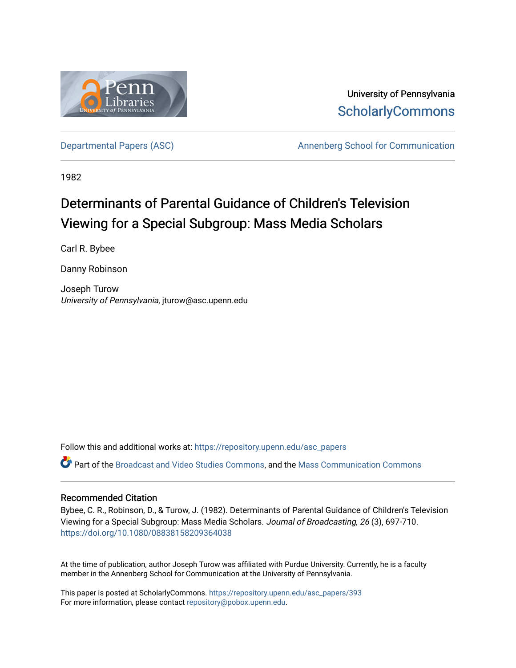

University of Pennsylvania **ScholarlyCommons** 

[Departmental Papers \(ASC\)](https://repository.upenn.edu/asc_papers) and a new Annenberg School for Communication

1982

# Determinants of Parental Guidance of Children's Television Viewing for a Special Subgroup: Mass Media Scholars

Carl R. Bybee

Danny Robinson

Joseph Turow University of Pennsylvania, jturow@asc.upenn.edu

Follow this and additional works at: [https://repository.upenn.edu/asc\\_papers](https://repository.upenn.edu/asc_papers?utm_source=repository.upenn.edu%2Fasc_papers%2F393&utm_medium=PDF&utm_campaign=PDFCoverPages)

Part of the [Broadcast and Video Studies Commons,](http://network.bepress.com/hgg/discipline/326?utm_source=repository.upenn.edu%2Fasc_papers%2F393&utm_medium=PDF&utm_campaign=PDFCoverPages) and the [Mass Communication Commons](http://network.bepress.com/hgg/discipline/334?utm_source=repository.upenn.edu%2Fasc_papers%2F393&utm_medium=PDF&utm_campaign=PDFCoverPages)

#### Recommended Citation

Bybee, C. R., Robinson, D., & Turow, J. (1982). Determinants of Parental Guidance of Children's Television Viewing for a Special Subgroup: Mass Media Scholars. Journal of Broadcasting, 26 (3), 697-710. <https://doi.org/10.1080/08838158209364038>

At the time of publication, author Joseph Turow was affiliated with Purdue University. Currently, he is a faculty member in the Annenberg School for Communication at the University of Pennsylvania.

This paper is posted at ScholarlyCommons. [https://repository.upenn.edu/asc\\_papers/393](https://repository.upenn.edu/asc_papers/393)  For more information, please contact [repository@pobox.upenn.edu.](mailto:repository@pobox.upenn.edu)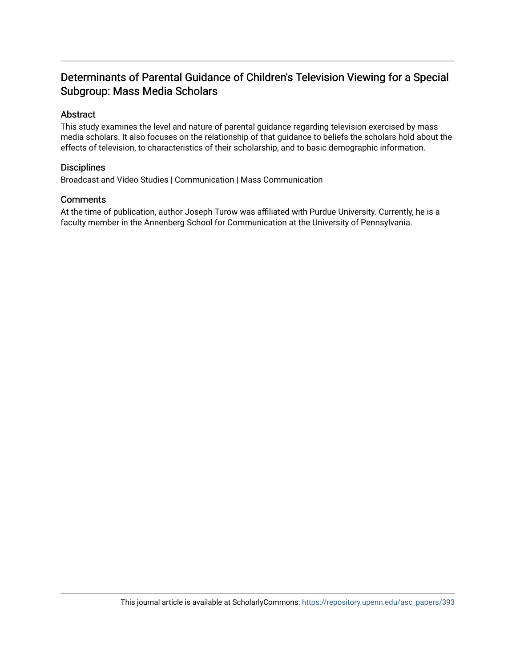## Determinants of Parental Guidance of Children's Television Viewing for a Special Subgroup: Mass Media Scholars

#### Abstract

This study examines the level and nature of parental guidance regarding television exercised by mass media scholars. It also focuses on the relationship of that guidance to beliefs the scholars hold about the effects of television, to characteristics of their scholarship, and to basic demographic information.

#### **Disciplines**

Broadcast and Video Studies | Communication | Mass Communication

#### **Comments**

At the time of publication, author Joseph Turow was affiliated with Purdue University. Currently, he is a faculty member in the Annenberg School for Communication at the University of Pennsylvania.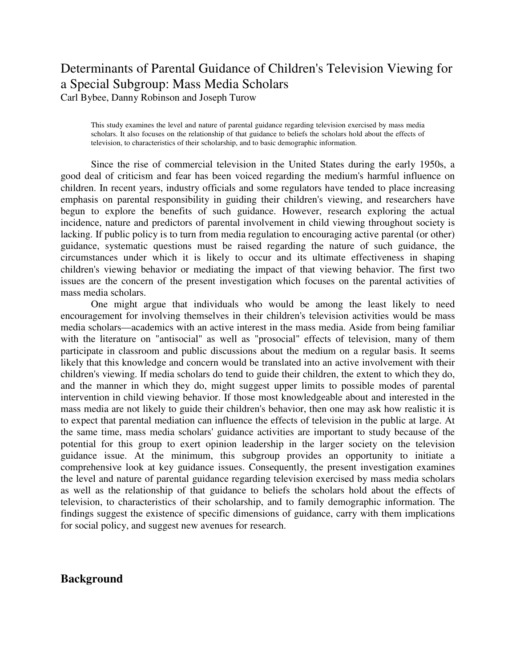## Determinants of Parental Guidance of Children's Television Viewing for a Special Subgroup: Mass Media Scholars

Carl Bybee, Danny Robinson and Joseph Turow

This study examines the level and nature of parental guidance regarding television exercised by mass media scholars. It also focuses on the relationship of that guidance to beliefs the scholars hold about the effects of television, to characteristics of their scholarship, and to basic demographic information.

Since the rise of commercial television in the United States during the early 1950s, a good deal of criticism and fear has been voiced regarding the medium's harmful influence on children. In recent years, industry officials and some regulators have tended to place increasing emphasis on parental responsibility in guiding their children's viewing, and researchers have begun to explore the benefits of such guidance. However, research exploring the actual incidence, nature and predictors of parental involvement in child viewing throughout society is lacking. If public policy is to turn from media regulation to encouraging active parental (or other) guidance, systematic questions must be raised regarding the nature of such guidance, the circumstances under which it is likely to occur and its ultimate effectiveness in shaping children's viewing behavior or mediating the impact of that viewing behavior. The first two issues are the concern of the present investigation which focuses on the parental activities of mass media scholars.

One might argue that individuals who would be among the least likely to need encouragement for involving themselves in their children's television activities would be mass media scholars—academics with an active interest in the mass media. Aside from being familiar with the literature on "antisocial" as well as "prosocial" effects of television, many of them participate in classroom and public discussions about the medium on a regular basis. It seems likely that this knowledge and concern would be translated into an active involvement with their children's viewing. If media scholars do tend to guide their children, the extent to which they do, and the manner in which they do, might suggest upper limits to possible modes of parental intervention in child viewing behavior. If those most knowledgeable about and interested in the mass media are not likely to guide their children's behavior, then one may ask how realistic it is to expect that parental mediation can influence the effects of television in the public at large. At the same time, mass media scholars' guidance activities are important to study because of the potential for this group to exert opinion leadership in the larger society on the television guidance issue. At the minimum, this subgroup provides an opportunity to initiate a comprehensive look at key guidance issues. Consequently, the present investigation examines the level and nature of parental guidance regarding television exercised by mass media scholars as well as the relationship of that guidance to beliefs the scholars hold about the effects of television, to characteristics of their scholarship, and to family demographic information. The findings suggest the existence of specific dimensions of guidance, carry with them implications for social policy, and suggest new avenues for research.

#### **Background**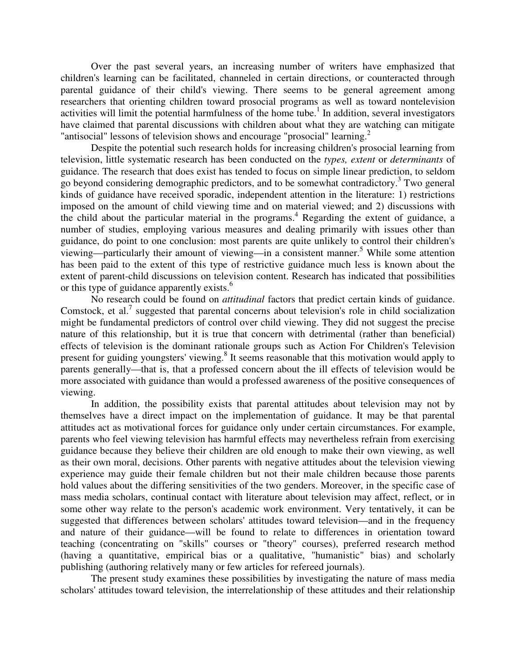Over the past several years, an increasing number of writers have emphasized that children's learning can be facilitated, channeled in certain directions, or counteracted through parental guidance of their child's viewing. There seems to be general agreement among researchers that orienting children toward prosocial programs as well as toward nontelevision activities will limit the potential harmfulness of the home tube.<sup>1</sup> In addition, several investigators have claimed that parental discussions with children about what they are watching can mitigate "antisocial" lessons of television shows and encourage "prosocial" learning.<sup>2</sup>

Despite the potential such research holds for increasing children's prosocial learning from television, little systematic research has been conducted on the *types, extent* or *determinants* of guidance. The research that does exist has tended to focus on simple linear prediction, to seldom go beyond considering demographic predictors, and to be somewhat contradictory.<sup>3</sup> Two general kinds of guidance have received sporadic, independent attention in the literature: 1) restrictions imposed on the amount of child viewing time and on material viewed; and 2) discussions with the child about the particular material in the programs.<sup>4</sup> Regarding the extent of guidance, a number of studies, employing various measures and dealing primarily with issues other than guidance, do point to one conclusion: most parents are quite unlikely to control their children's viewing—particularly their amount of viewing—in a consistent manner. 5 While some attention has been paid to the extent of this type of restrictive guidance much less is known about the extent of parent-child discussions on television content. Research has indicated that possibilities or this type of guidance apparently exists.<sup>6</sup>

No research could be found on *attitudinal* factors that predict certain kinds of guidance. Comstock, et al.<sup>7</sup> suggested that parental concerns about television's role in child socialization might be fundamental predictors of control over child viewing. They did not suggest the precise nature of this relationship, but it is true that concern with detrimental (rather than beneficial) effects of television is the dominant rationale groups such as Action For Children's Television present for guiding youngsters' viewing.<sup>8</sup> It seems reasonable that this motivation would apply to parents generally—that is, that a professed concern about the ill effects of television would be more associated with guidance than would a professed awareness of the positive consequences of viewing.

In addition, the possibility exists that parental attitudes about television may not by themselves have a direct impact on the implementation of guidance. It may be that parental attitudes act as motivational forces for guidance only under certain circumstances. For example, parents who feel viewing television has harmful effects may nevertheless refrain from exercising guidance because they believe their children are old enough to make their own viewing, as well as their own moral, decisions. Other parents with negative attitudes about the television viewing experience may guide their female children but not their male children because those parents hold values about the differing sensitivities of the two genders. Moreover, in the specific case of mass media scholars, continual contact with literature about television may affect, reflect, or in some other way relate to the person's academic work environment. Very tentatively, it can be suggested that differences between scholars' attitudes toward television—and in the frequency and nature of their guidance—will be found to relate to differences in orientation toward teaching (concentrating on "skills" courses or "theory" courses), preferred research method (having a quantitative, empirical bias or a qualitative, "humanistic" bias) and scholarly publishing (authoring relatively many or few articles for refereed journals).

The present study examines these possibilities by investigating the nature of mass media scholars' attitudes toward television, the interrelationship of these attitudes and their relationship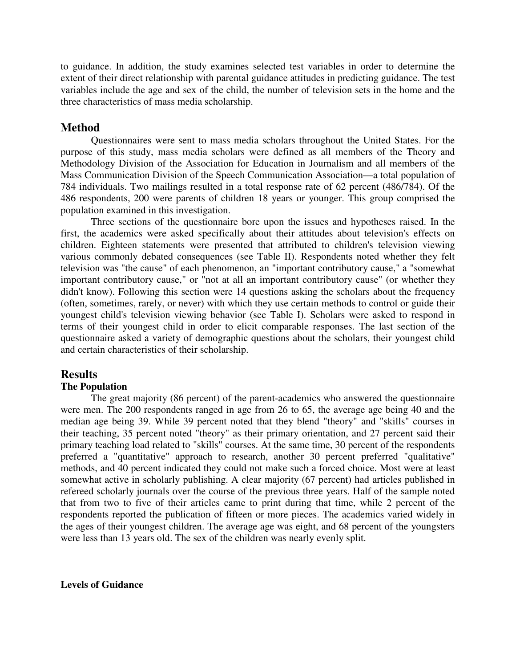to guidance. In addition, the study examines selected test variables in order to determine the extent of their direct relationship with parental guidance attitudes in predicting guidance. The test variables include the age and sex of the child, the number of television sets in the home and the three characteristics of mass media scholarship.

#### **Method**

Questionnaires were sent to mass media scholars throughout the United States. For the purpose of this study, mass media scholars were defined as all members of the Theory and Methodology Division of the Association for Education in Journalism and all members of the Mass Communication Division of the Speech Communication Association—a total population of 784 individuals. Two mailings resulted in a total response rate of 62 percent (486/784). Of the 486 respondents, 200 were parents of children 18 years or younger. This group comprised the population examined in this investigation.

Three sections of the questionnaire bore upon the issues and hypotheses raised. In the first, the academics were asked specifically about their attitudes about television's effects on children. Eighteen statements were presented that attributed to children's television viewing various commonly debated consequences (see Table II). Respondents noted whether they felt television was "the cause" of each phenomenon, an "important contributory cause," a "somewhat important contributory cause," or "not at all an important contributory cause" (or whether they didn't know). Following this section were 14 questions asking the scholars about the frequency (often, sometimes, rarely, or never) with which they use certain methods to control or guide their youngest child's television viewing behavior (see Table I). Scholars were asked to respond in terms of their youngest child in order to elicit comparable responses. The last section of the questionnaire asked a variety of demographic questions about the scholars, their youngest child and certain characteristics of their scholarship.

#### **Results**

#### **The Population**

The great majority (86 percent) of the parent-academics who answered the questionnaire were men. The 200 respondents ranged in age from 26 to 65, the average age being 40 and the median age being 39. While 39 percent noted that they blend "theory" and "skills" courses in their teaching, 35 percent noted "theory" as their primary orientation, and 27 percent said their primary teaching load related to "skills" courses. At the same time, 30 percent of the respondents preferred a "quantitative" approach to research, another 30 percent preferred "qualitative" methods, and 40 percent indicated they could not make such a forced choice. Most were at least somewhat active in scholarly publishing. A clear majority (67 percent) had articles published in refereed scholarly journals over the course of the previous three years. Half of the sample noted that from two to five of their articles came to print during that time, while 2 percent of the respondents reported the publication of fifteen or more pieces. The academics varied widely in the ages of their youngest children. The average age was eight, and 68 percent of the youngsters were less than 13 years old. The sex of the children was nearly evenly split.

#### **Levels of Guidance**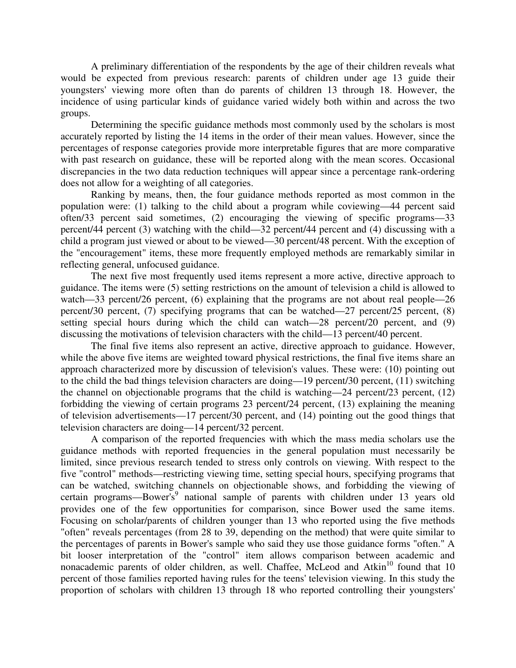A preliminary differentiation of the respondents by the age of their children reveals what would be expected from previous research: parents of children under age 13 guide their youngsters' viewing more often than do parents of children 13 through 18. However, the incidence of using particular kinds of guidance varied widely both within and across the two groups.

Determining the specific guidance methods most commonly used by the scholars is most accurately reported by listing the 14 items in the order of their mean values. However, since the percentages of response categories provide more interpretable figures that are more comparative with past research on guidance, these will be reported along with the mean scores. Occasional discrepancies in the two data reduction techniques will appear since a percentage rank-ordering does not allow for a weighting of all categories.

Ranking by means, then, the four guidance methods reported as most common in the population were: (1) talking to the child about a program while coviewing—44 percent said often/33 percent said sometimes, (2) encouraging the viewing of specific programs—33 percent/44 percent (3) watching with the child—32 percent/44 percent and (4) discussing with a child a program just viewed or about to be viewed—30 percent/48 percent. With the exception of the "encouragement" items, these more frequently employed methods are remarkably similar in reflecting general, unfocused guidance.

The next five most frequently used items represent a more active, directive approach to guidance. The items were (5) setting restrictions on the amount of television a child is allowed to watch—33 percent/26 percent, (6) explaining that the programs are not about real people—26 percent/30 percent, (7) specifying programs that can be watched—27 percent/25 percent, (8) setting special hours during which the child can watch—28 percent/20 percent, and (9) discussing the motivations of television characters with the child—13 percent/40 percent.

The final five items also represent an active, directive approach to guidance. However, while the above five items are weighted toward physical restrictions, the final five items share an approach characterized more by discussion of television's values. These were: (10) pointing out to the child the bad things television characters are doing—19 percent/30 percent, (11) switching the channel on objectionable programs that the child is watching—24 percent/23 percent, (12) forbidding the viewing of certain programs 23 percent/24 percent, (13) explaining the meaning of television advertisements—17 percent/30 percent, and (14) pointing out the good things that television characters are doing—14 percent/32 percent.

A comparison of the reported frequencies with which the mass media scholars use the guidance methods with reported frequencies in the general population must necessarily be limited, since previous research tended to stress only controls on viewing. With respect to the five "control" methods—restricting viewing time, setting special hours, specifying programs that can be watched, switching channels on objectionable shows, and forbidding the viewing of certain programs—Bower's<sup>9</sup> national sample of parents with children under 13 years old provides one of the few opportunities for comparison, since Bower used the same items. Focusing on scholar/parents of children younger than 13 who reported using the five methods "often" reveals percentages (from 28 to 39, depending on the method) that were quite similar to the percentages of parents in Bower's sample who said they use those guidance forms "often." A bit looser interpretation of the "control" item allows comparison between academic and nonacademic parents of older children, as well. Chaffee, McLeod and Atkin<sup>10</sup> found that 10 percent of those families reported having rules for the teens' television viewing. In this study the proportion of scholars with children 13 through 18 who reported controlling their youngsters'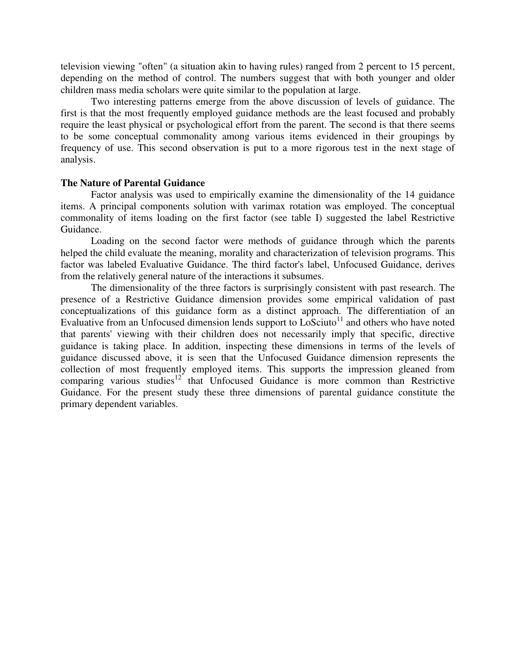television viewing "often" (a situation akin to having rules) ranged from 2 percent to 15 percent, depending on the method of control. The numbers suggest that with both younger and older children mass media scholars were quite similar to the population at large.

Two interesting patterns emerge from the above discussion of levels of guidance. The first is that the most frequently employed guidance methods are the least focused and probably require the least physical or psychological effort from the parent. The second is that there seems to be some conceptual commonality among various items evidenced in their groupings by frequency of use. This second observation is put to a more rigorous test in the next stage of analysis.

#### **The Nature of Parental Guidance**

Factor analysis was used to empirically examine the dimensionality of the 14 guidance items. A principal components solution with varimax rotation was employed. The conceptual commonality of items loading on the first factor (see table I) suggested the label Restrictive Guidance.

Loading on the second factor were methods of guidance through which the parents helped the child evaluate the meaning, morality and characterization of television programs. This factor was labeled Evaluative Guidance. The third factor's label, Unfocused Guidance, derives from the relatively general nature of the interactions it subsumes.

The dimensionality of the three factors is surprisingly consistent with past research. The presence of a Restrictive Guidance dimension provides some empirical validation of past conceptualizations of this guidance form as a distinct approach. The differentiation of an Evaluative from an Unfocused dimension lends support to  $LoSciuto<sup>11</sup>$  and others who have noted that parents' viewing with their children does not necessarily imply that specific, directive guidance is taking place. In addition, inspecting these dimensions in terms of the levels of guidance discussed above, it is seen that the Unfocused Guidance dimension represents the collection of most frequently employed items. This supports the impression gleaned from comparing various studies<sup>12</sup> that Unfocused Guidance is more common than Restrictive Guidance. For the present study these three dimensions of parental guidance constitute the primary dependent variables.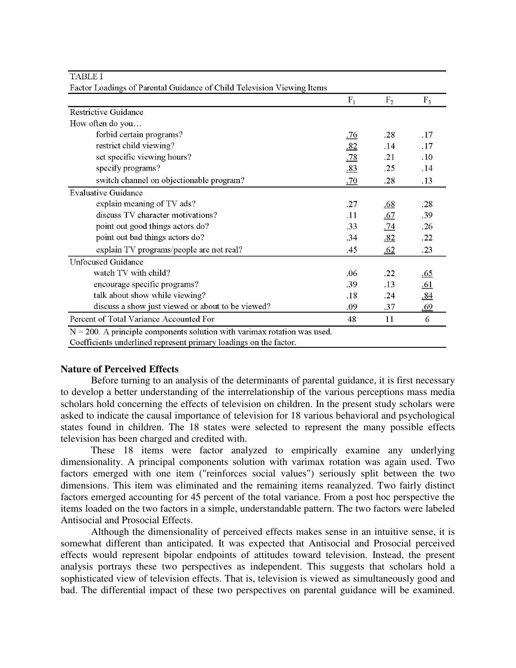|                                                   | $F_1$             | F <sub>2</sub> | $F_3$      |
|---------------------------------------------------|-------------------|----------------|------------|
| <b>Restrictive Guidance</b>                       |                   |                |            |
| How often do you                                  |                   |                |            |
| forbid certain programs?                          | <u>.76</u>        | .28            | .17        |
| restrict child viewing?                           |                   | .14            | .17        |
| set specific viewing hours?                       | $\frac{.82}{.78}$ | .21            | .10        |
| specify programs?                                 | .83               | .25            | .14        |
| switch channel on objectionable program?          | .70               | .28            | .13        |
| <b>Evaluative Guidance</b>                        |                   |                |            |
| explain meaning of TV ads?                        | .27               | .68            | .28        |
| discuss TV character motivations?                 | .11               | .67            | .39        |
| point out good things actors do?                  | .33               | .74            | .26        |
| point out bad things actors do?                   | .34               | .82            | .22        |
| explain TV programs/people are not real?          | .45               | .62            | .23        |
| <b>Unfocused Guidance</b>                         |                   |                |            |
| watch TV with child?                              | .06               | .22            | <u>.65</u> |
| encourage specific programs?                      | .39               | .13            | .61        |
| talk about show while viewing?                    | .18               | .24            | .84        |
| discuss a show just viewed or about to be viewed? | .09               | .37            | .69        |
| Percent of Total Variance Accounted For           | 48                | 11             | 6          |

#### **Nature of Perceived Effects**

 $T11111$ 

Before turning to an analysis of the determinants of parental guidance, it is first necessary to develop a better understanding of the interrelationship of the various perceptions mass media scholars hold concerning the effects of television on children. In the present study scholars were asked to indicate the causal importance of television for 18 various behavioral and psychological states found in children. The 18 states were selected to represent the many possible effects television has been charged and credited with.

These 18 items were factor analyzed to empirically examine any underlying dimensionality. A principal components solution with varimax rotation was again used. Two factors emerged with one item ("reinforces social values") seriously split between the two dimensions. This item was eliminated and the remaining items reanalyzed. Two fairly distinct factors emerged accounting for 45 percent of the total variance. From a post hoc perspective the items loaded on the two factors in a simple, understandable pattern. The two factors were labeled Antisocial and Prosocial Effects.

Although the dimensionality of perceived effects makes sense in an intuitive sense, it is somewhat different than anticipated. It was expected that Antisocial and Prosocial perceived effects would represent bipolar endpoints of attitudes toward television. Instead, the present analysis portrays these two perspectives as independent. This suggests that scholars hold a sophisticated view of television effects. That is, television is viewed as simultaneously good and bad. The differential impact of these two perspectives on parental guidance will be examined.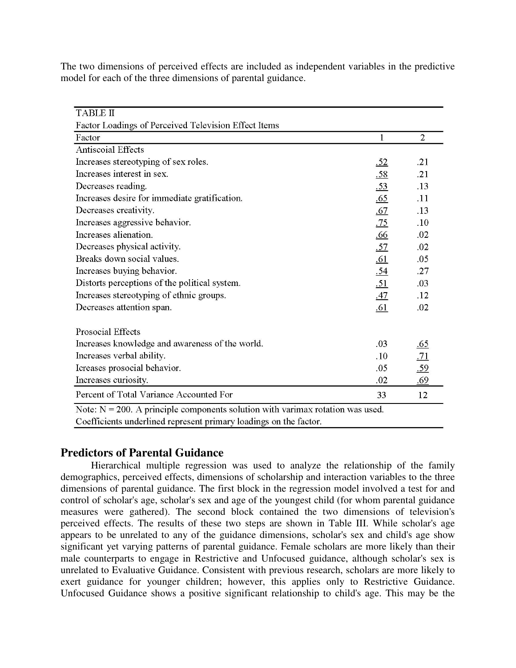The two dimensions of perceived effects are included as independent variables in the predictive model for each of the three dimensions of parental guidance.

| TABLE II                                                                          |              |                |  |  |  |
|-----------------------------------------------------------------------------------|--------------|----------------|--|--|--|
| Factor Loadings of Perceived Television Effect Items                              |              |                |  |  |  |
| Factor                                                                            | $\mathbf{1}$ | $\overline{2}$ |  |  |  |
| <b>Antiscoial Effects</b>                                                         |              |                |  |  |  |
| Increases stereotyping of sex roles.                                              | .52          | .21            |  |  |  |
| Increases interest in sex.                                                        | .58          | .21            |  |  |  |
| Decreases reading.                                                                | .53          | .13            |  |  |  |
| Increases desire for immediate gratification.                                     | .65          | .11            |  |  |  |
| Decreases creativity.                                                             | .67          | .13            |  |  |  |
| Increases aggressive behavior.                                                    | .75          | .10            |  |  |  |
| Increases alienation.                                                             | .66          | .02            |  |  |  |
| Decreases physical activity.                                                      | .57          | .02            |  |  |  |
| Breaks down social values.                                                        | .61          | .05            |  |  |  |
| Increases buying behavior.                                                        | .54          | .27            |  |  |  |
| Distorts perceptions of the political system.                                     | .51          | .03            |  |  |  |
| Increases stereotyping of ethnic groups.                                          | .47          | .12            |  |  |  |
| Decreases attention span.                                                         | .61          | .02            |  |  |  |
| Prosocial Effects                                                                 |              |                |  |  |  |
| Increases knowledge and awareness of the world.                                   | .03          | <u>.65</u>     |  |  |  |
| Increases verbal ability.                                                         | .10          | .71            |  |  |  |
| Icreases prosocial behavior.                                                      | .05          | .59            |  |  |  |
| Increases curiosity.                                                              | .02          | .69            |  |  |  |
| Percent of Total Variance Accounted For                                           | 33           | 12             |  |  |  |
| Note: $N = 200$ . A principle components solution with varimax rotation was used. |              |                |  |  |  |
| Coefficients underlined represent primary loadings on the factor.                 |              |                |  |  |  |

### **Predictors of Parental Guidance**

Hierarchical multiple regression was used to analyze the relationship of the family demographics, perceived effects, dimensions of scholarship and interaction variables to the three dimensions of parental guidance. The first block in the regression model involved a test for and control of scholar's age, scholar's sex and age of the youngest child (for whom parental guidance measures were gathered). The second block contained the two dimensions of television's perceived effects. The results of these two steps are shown in Table III. While scholar's age appears to be unrelated to any of the guidance dimensions, scholar's sex and child's age show significant yet varying patterns of parental guidance. Female scholars are more likely than their male counterparts to engage in Restrictive and Unfocused guidance, although scholar's sex is unrelated to Evaluative Guidance. Consistent with previous research, scholars are more likely to exert guidance for younger children; however, this applies only to Restrictive Guidance. Unfocused Guidance shows a positive significant relationship to child's age. This may be the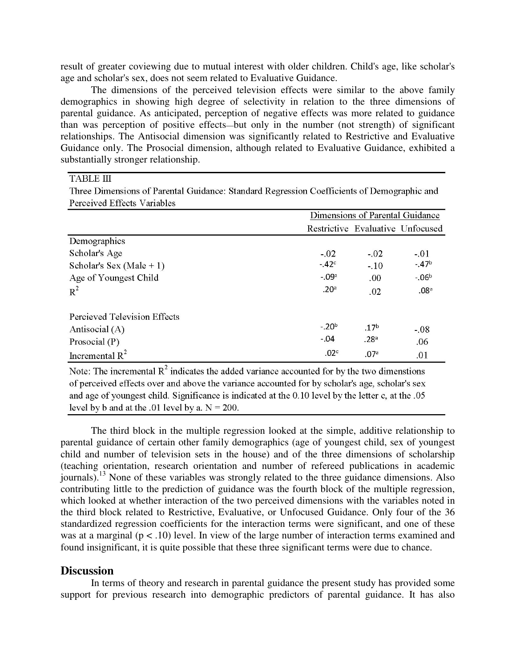result of greater coviewing due to mutual interest with older children. Child's age, like scholar's age and scholar's sex, does not seem related to Evaluative Guidance.

The dimensions of the perceived television effects were similar to the above family demographics in showing high degree of selectivity in relation to the three dimensions of parental guidance. As anticipated, perception of negative effects was more related to guidance than was perception of positive effects—but only in the number (not strength) of significant relationships. The Antisocial dimension was significantly related to Restrictive and Evaluative Guidance only. The Prosocial dimension, although related to Evaluative Guidance, exhibited a substantially stronger relationship.

#### **TABLE III**

Three Dimensions of Parental Guidance: Standard Regression Coefficients of Demographic and Perceived Effects Variables

|                              | Dimensions of Parental Guidance |                                  |                  |  |
|------------------------------|---------------------------------|----------------------------------|------------------|--|
|                              |                                 | Restrictive Evaluative Unfocused |                  |  |
| Demographics                 |                                 |                                  |                  |  |
| Scholar's Age                | $-0.02$                         | $-02$                            | $-01$            |  |
| Scholar's Sex (Male $+1$ )   | $-42c$                          | $-.10$                           | $-47b$           |  |
| Age of Youngest Child        | $-0.09a$                        | .00                              | $-06b$           |  |
| $R^2$                        | .20 <sup>a</sup>                | .02                              | .08 <sup>a</sup> |  |
| Percieved Television Effects |                                 |                                  |                  |  |
| Antisocial $(A)$             | $-0.20^{b}$                     | .17 <sup>b</sup>                 | $-08$            |  |
| Prosocial $(P)$              | $-.04$                          | .28 <sup>a</sup>                 | .06              |  |
| Incremental R                | .02 <sup>c</sup>                | .07a                             | .01              |  |

Note: The incremental  $R^2$  indicates the added variance accounted for by the two dimenstions of perceived effects over and above the variance accounted for by scholar's age, scholar's sex and age of voungest child. Significance is indicated at the 0.10 level by the letter c, at the .05 level by b and at the .01 level by a.  $N = 200$ .

The third block in the multiple regression looked at the simple, additive relationship to parental guidance of certain other family demographics (age of youngest child, sex of youngest child and number of television sets in the house) and of the three dimensions of scholarship (teaching orientation, research orientation and number of refereed publications in academic journals).<sup>13</sup> None of these variables was strongly related to the three guidance dimensions. Also contributing little to the prediction of guidance was the fourth block of the multiple regression, which looked at whether interaction of the two perceived dimensions with the variables noted in the third block related to Restrictive, Evaluative, or Unfocused Guidance. Only four of the 36 standardized regression coefficients for the interaction terms were significant, and one of these was at a marginal  $(p < 0.10)$  level. In view of the large number of interaction terms examined and found insignificant, it is quite possible that these three significant terms were due to chance.

#### **Discussion**

In terms of theory and research in parental guidance the present study has provided some support for previous research into demographic predictors of parental guidance. It has also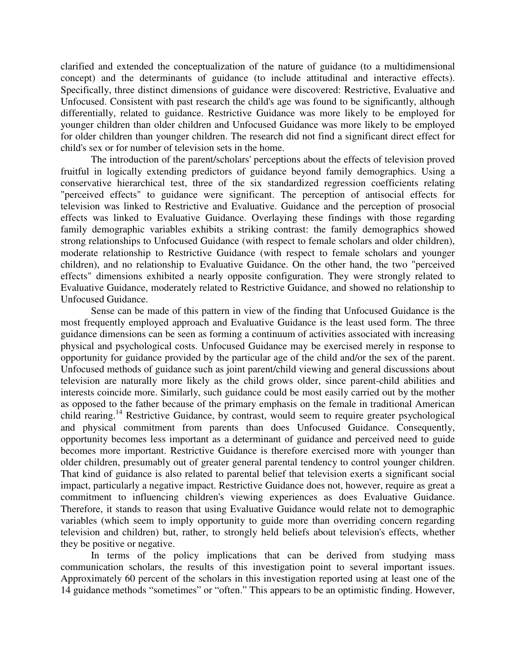clarified and extended the conceptualization of the nature of guidance (to a multidimensional concept) and the determinants of guidance (to include attitudinal and interactive effects). Specifically, three distinct dimensions of guidance were discovered: Restrictive, Evaluative and Unfocused. Consistent with past research the child's age was found to be significantly, although differentially, related to guidance. Restrictive Guidance was more likely to be employed for younger children than older children and Unfocused Guidance was more likely to be employed for older children than younger children. The research did not find a significant direct effect for child's sex or for number of television sets in the home.

The introduction of the parent/scholars' perceptions about the effects of television proved fruitful in logically extending predictors of guidance beyond family demographics. Using a conservative hierarchical test, three of the six standardized regression coefficients relating "perceived effects" to guidance were significant. The perception of antisocial effects for television was linked to Restrictive and Evaluative. Guidance and the perception of prosocial effects was linked to Evaluative Guidance. Overlaying these findings with those regarding family demographic variables exhibits a striking contrast: the family demographics showed strong relationships to Unfocused Guidance (with respect to female scholars and older children), moderate relationship to Restrictive Guidance (with respect to female scholars and younger children), and no relationship to Evaluative Guidance. On the other hand, the two "perceived effects" dimensions exhibited a nearly opposite configuration. They were strongly related to Evaluative Guidance, moderately related to Restrictive Guidance, and showed no relationship to Unfocused Guidance.

Sense can be made of this pattern in view of the finding that Unfocused Guidance is the most frequently employed approach and Evaluative Guidance is the least used form. The three guidance dimensions can be seen as forming a continuum of activities associated with increasing physical and psychological costs. Unfocused Guidance may be exercised merely in response to opportunity for guidance provided by the particular age of the child and/or the sex of the parent. Unfocused methods of guidance such as joint parent/child viewing and general discussions about television are naturally more likely as the child grows older, since parent-child abilities and interests coincide more. Similarly, such guidance could be most easily carried out by the mother as opposed to the father because of the primary emphasis on the female in traditional American child rearing.<sup>14</sup> Restrictive Guidance, by contrast, would seem to require greater psychological and physical commitment from parents than does Unfocused Guidance. Consequently, opportunity becomes less important as a determinant of guidance and perceived need to guide becomes more important. Restrictive Guidance is therefore exercised more with younger than older children, presumably out of greater general parental tendency to control younger children. That kind of guidance is also related to parental belief that television exerts a significant social impact, particularly a negative impact. Restrictive Guidance does not, however, require as great a commitment to influencing children's viewing experiences as does Evaluative Guidance. Therefore, it stands to reason that using Evaluative Guidance would relate not to demographic variables (which seem to imply opportunity to guide more than overriding concern regarding television and children) but, rather, to strongly held beliefs about television's effects, whether they be positive or negative.

In terms of the policy implications that can be derived from studying mass communication scholars, the results of this investigation point to several important issues. Approximately 60 percent of the scholars in this investigation reported using at least one of the 14 guidance methods "sometimes" or "often." This appears to be an optimistic finding. However,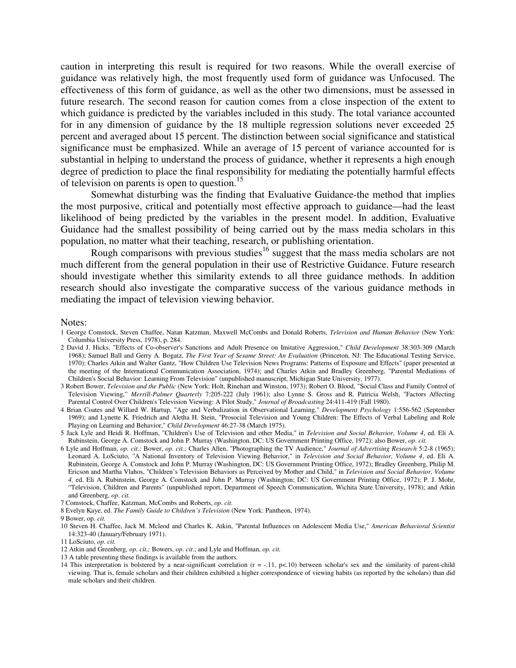caution in interpreting this result is required for two reasons. While the overall exercise of guidance was relatively high, the most frequently used form of guidance was Unfocused. The effectiveness of this form of guidance, as well as the other two dimensions, must be assessed in future research. The second reason for caution comes from a close inspection of the extent to which guidance is predicted by the variables included in this study. The total variance accounted for in any dimension of guidance by the 18 multiple regression solutions never exceeded 25 percent and averaged about 15 percent. The distinction between social significance and statistical significance must be emphasized. While an average of 15 percent of variance accounted for is substantial in helping to understand the process of guidance, whether it represents a high enough degree of prediction to place the final responsibility for mediating the potentially harmful effects of television on parents is open to question.<sup>15</sup>

Somewhat disturbing was the finding that Evaluative Guidance-the method that implies the most purposive, critical and potentially most effective approach to guidance—had the least likelihood of being predicted by the variables in the present model. In addition, Evaluative Guidance had the smallest possibility of being carried out by the mass media scholars in this population, no matter what their teaching, research, or publishing orientation.

Rough comparisons with previous studies<sup>16</sup> suggest that the mass media scholars are not much different from the general population in their use of Restrictive Guidance. Future research should investigate whether this similarity extends to all three guidance methods. In addition research should also investigate the comparative success of the various guidance methods in mediating the impact of television viewing behavior.

#### Notes:

- 1 George Comstock, Steven Chaffee, Natan Katzman, Maxwell McCombs and Donald Roberts, *Television and Human Behavior* (New York: Columbia University Press, 1978), p. 284.
- 2 David J. Hicks, "Effects of Co-observer's Sanctions and Adult Presence on Imitative Aggression," *Child Development* 38:303-309 (March 1968); Samuel Ball and Gerry A. Bogatz, *The First Year of Sesame Street: An Evaluation* (Princeton, NJ: The Educational Testing Service, 1970); Charles Atkin and Walter Gantz, "How Children Use Television News Programs: Patterns of Exposure and Effects" (paper presented at the meeting of the International Communication Association, 1974); and Charles Atkin and Bradley Greenberg, "Parental Mediations of Children's Social Behavior: Learning From Television" (unpublished manuscript, Michigan State University, 1977).
- 3 Robert Bower, *Television and the Public* (New York: Holt, Rinehart and Winston, 1973); Robert O. Blood, "Social Class and Family Control of Television Viewing," *Merrill-Palmer Quarterly* 7:205-222 (July 1961); also Lynne S. Gross and R. Patricia Welsh, "Factors Affecting Parental Control Over Children's Television Viewing: A Pilot Study," *Journal of Broadcasting* 24:411-419 (Fall 1980).
- 4 Brian Coates and Willard W. Hartup, "Age and Verbalization in Observational Learning," *Development Psychology* 1:556-562 (September 1969); and Lynette K. Friedrich and Aletha H. Stein, "Prosocial Television and Young Children: The Effects of Verbal Labeling and Role Playing on Learning and Behavior," *Child Development* 46:27-38 (March 1975).
- 5 Jack Lyle and Heidi R. Hoffman, "Children's Use of Television and other Media," in *Television and Social Behavior, Volume 4*, ed. Eli A. Rubinstein, George A. Comstock and John P. Murray (Washington, DC: US Government Printing Office, 1972); also Bower, *op*. *cit.*
- 6 Lyle and Hoffman, *op. cit.;* Bower, *op. cit.;* Charles Allen, "Photographing the TV Audience," *Journal of Advertising Research* 5:2-8 (1965); Leonard A. LoSciuto, "A National Inventory of Television Viewing Behavior," in *Television and Social Behavior, Volume 4*, ed. Eli A. Rubinstein, George A. Comstock and John P. Murray (Washington, DC: US Government Printing Office, 1972); Bradley Greenberg, Philip M. Ericson and Martha Vlahos, "Children's Television Behaviors as Perceived by Mother and Child," in *Television and Social Behavior, Volume 4,* ed. Eli A. Rubinstein, George A. Comstock and John P. Murray (Washington; DC: US Government Printing Office, 1972); P. J. Mohr, "Television, Children and Parents" (unpublished report, Department of Speech Communication, Wichita State University, 1978); and Atkin and Greenberg, *op*. *cit.*
- 7 Comstock, Chaffee, Katzman, McCombs and Roberts, *op*. *cit.*
- 8 Evelyn Kaye, ed. *The Family Guide to Children's Television* (New York: Pantheon, 1974).

10 Steven H. Chaffee, Jack M. Mcleod and Charles K. Atkin, "Parental Influences on Adolescent Media Use," *American Behavioral Scientist*  14:323-40 (January/February 1971).

- 12 Atkin and Greenberg, *op. cit.;* Bowers, *op. cit*.; and Lyle and Hoffman, *op. cit.*
- 13 A table presenting these findings is available from the authors.
- 14 This interpretation is bolstered by a near-significant correlation  $(r = -11, p < 10)$  between scholar's sex and the similarity of parent-child viewing. That is, female scholars and their children exhibited a higher correspondence of viewing habits (as reported by the scholars) than did male scholars and their children.

<sup>9</sup> Bower, op. *cit.* 

<sup>11</sup> LoSciuto, *op. cit.*